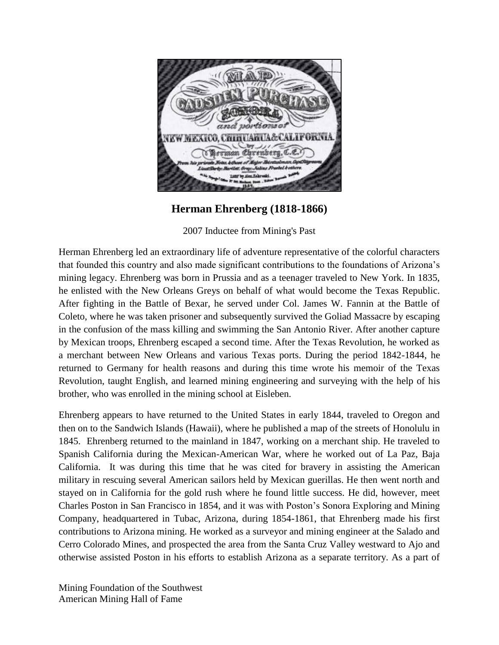

## **Herman Ehrenberg (1818-1866)**

2007 Inductee from Mining's Past

Herman Ehrenberg led an extraordinary life of adventure representative of the colorful characters that founded this country and also made significant contributions to the foundations of Arizona's mining legacy. Ehrenberg was born in Prussia and as a teenager traveled to New York. In 1835, he enlisted with the New Orleans Greys on behalf of what would become the Texas Republic. After fighting in the Battle of Bexar, he served under Col. James W. Fannin at the Battle of Coleto, where he was taken prisoner and subsequently survived the Goliad Massacre by escaping in the confusion of the mass killing and swimming the San Antonio River. After another capture by Mexican troops, Ehrenberg escaped a second time. After the Texas Revolution, he worked as a merchant between New Orleans and various Texas ports. During the period 1842-1844, he returned to Germany for health reasons and during this time wrote his memoir of the Texas Revolution, taught English, and learned mining engineering and surveying with the help of his brother, who was enrolled in the mining school at Eisleben.

Ehrenberg appears to have returned to the United States in early 1844, traveled to Oregon and then on to the Sandwich Islands (Hawaii), where he published a map of the streets of Honolulu in 1845. Ehrenberg returned to the mainland in 1847, working on a merchant ship. He traveled to Spanish California during the Mexican-American War, where he worked out of La Paz, Baja California. It was during this time that he was cited for bravery in assisting the American military in rescuing several American sailors held by Mexican guerillas. He then went north and stayed on in California for the gold rush where he found little success. He did, however, meet Charles Poston in San Francisco in 1854, and it was with Poston's Sonora Exploring and Mining Company, headquartered in Tubac, Arizona, during 1854-1861, that Ehrenberg made his first contributions to Arizona mining. He worked as a surveyor and mining engineer at the Salado and Cerro Colorado Mines, and prospected the area from the Santa Cruz Valley westward to Ajo and otherwise assisted Poston in his efforts to establish Arizona as a separate territory. As a part of

Mining Foundation of the Southwest American Mining Hall of Fame